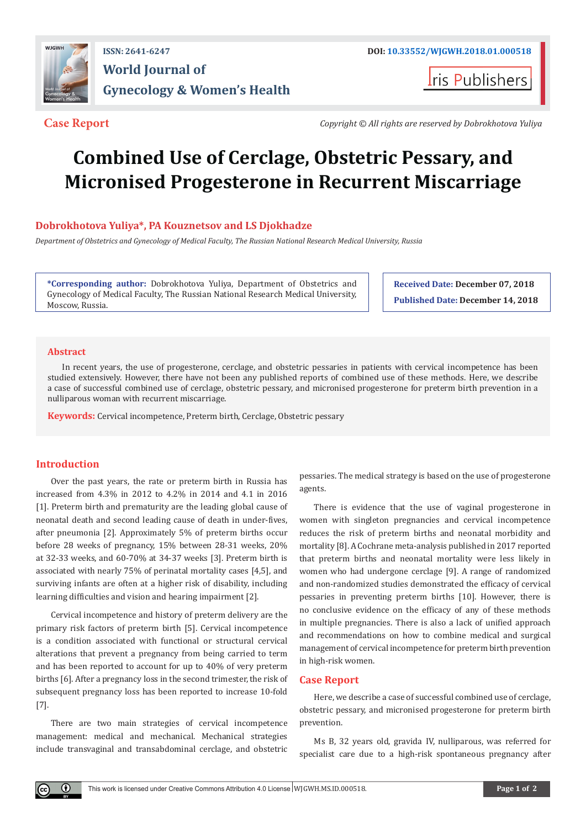

## **ISSN: 2641-6247 DOI: [10.33552/WJGWH.2018.01.000518](http://dx.doi.org/10.33552/WJGWH.2018.01.000518) World Journal of Gynecology & Women's Health**

**Iris Publishers** 

**Case Report** *Copyright © All rights are reserved by Dobrokhotova Yuliya* 

# **Combined Use of Cerclage, Obstetric Pessary, and Micronised Progesterone in Recurrent Miscarriage**

### **Dobrokhotova Yuliya\*, PA Kouznetsov and LS Djokhadze**

*Department of Obstetrics and Gynecology of Medical Faculty, The Russian National Research Medical University, Russia*

**\*Corresponding author:** Dobrokhotova Yuliya, Department of Obstetrics and Gynecology of Medical Faculty, The Russian National Research Medical University, Moscow, Russia.

**Received Date: December 07, 2018 Published Date: December 14, 2018**

#### **Abstract**

In recent years, the use of progesterone, cerclage, and obstetric pessaries in patients with cervical incompetence has been studied extensively. However, there have not been any published reports of combined use of these methods. Here, we describe a case of successful combined use of cerclage, obstetric pessary, and micronised progesterone for preterm birth prevention in a nulliparous woman with recurrent miscarriage.

**Keywords:** Cervical incompetence, Preterm birth, Cerclage, Obstetric pessary

#### **Introduction**

 $_{\odot}$ 

Over the past years, the rate or preterm birth in Russia has increased from 4.3% in 2012 to 4.2% in 2014 and 4.1 in 2016 [1]. Preterm birth and prematurity are the leading global cause of neonatal death and second leading cause of death in under-fives, after pneumonia [2]. Approximately 5% of preterm births occur before 28 weeks of pregnancy, 15% between 28-31 weeks, 20% at 32-33 weeks, and 60-70% at 34-37 weeks [3]. Preterm birth is associated with nearly 75% of perinatal mortality cases [4,5], and surviving infants are often at a higher risk of disability, including learning difficulties and vision and hearing impairment [2].

Cervical incompetence and history of preterm delivery are the primary risk factors of preterm birth [5]. Cervical incompetence is a condition associated with functional or structural cervical alterations that prevent a pregnancy from being carried to term and has been reported to account for up to 40% of very preterm births [6]. After a pregnancy loss in the second trimester, the risk of subsequent pregnancy loss has been reported to increase 10-fold [7].

There are two main strategies of cervical incompetence management: medical and mechanical. Mechanical strategies include transvaginal and transabdominal cerclage, and obstetric pessaries. The medical strategy is based on the use of progesterone agents.

There is evidence that the use of vaginal progesterone in women with singleton pregnancies and cervical incompetence reduces the risk of preterm births and neonatal morbidity and mortality [8]. A Cochrane meta-analysis published in 2017 reported that preterm births and neonatal mortality were less likely in women who had undergone cerclage [9]. A range of randomized and non-randomized studies demonstrated the efficacy of cervical pessaries in preventing preterm births [10]. However, there is no conclusive evidence on the efficacy of any of these methods in multiple pregnancies. There is also a lack of unified approach and recommendations on how to combine medical and surgical management of cervical incompetence for preterm birth prevention in high-risk women.

#### **Case Report**

Here, we describe a case of successful combined use of cerclage, obstetric pessary, and micronised progesterone for preterm birth prevention.

Ms B, 32 years old, gravida IV, nulliparous, was referred for specialist care due to a high-risk spontaneous pregnancy after